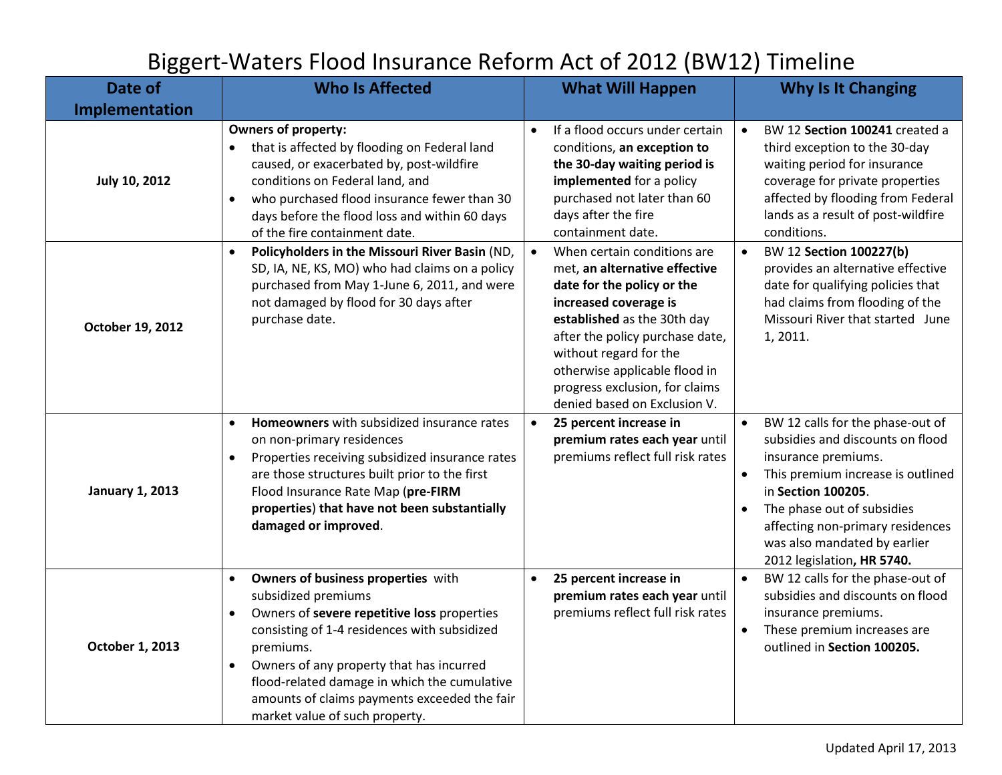## Biggert-Waters Flood Insurance Reform Act of 2012 (BW12) Timeline

| Date of                | <b>Who Is Affected</b>                                                                                                                                                                                                                                                                                                                                                        | <b>What Will Happen</b>                                                                                                                                                                                                                                                                                                         | <b>Why Is It Changing</b>                                                                                                                                                                                                                                                                           |
|------------------------|-------------------------------------------------------------------------------------------------------------------------------------------------------------------------------------------------------------------------------------------------------------------------------------------------------------------------------------------------------------------------------|---------------------------------------------------------------------------------------------------------------------------------------------------------------------------------------------------------------------------------------------------------------------------------------------------------------------------------|-----------------------------------------------------------------------------------------------------------------------------------------------------------------------------------------------------------------------------------------------------------------------------------------------------|
| Implementation         |                                                                                                                                                                                                                                                                                                                                                                               |                                                                                                                                                                                                                                                                                                                                 |                                                                                                                                                                                                                                                                                                     |
| <b>July 10, 2012</b>   | <b>Owners of property:</b><br>that is affected by flooding on Federal land<br>$\bullet$<br>caused, or exacerbated by, post-wildfire<br>conditions on Federal land, and<br>who purchased flood insurance fewer than 30<br>$\bullet$<br>days before the flood loss and within 60 days<br>of the fire containment date.                                                          | If a flood occurs under certain<br>conditions, an exception to<br>the 30-day waiting period is<br>implemented for a policy<br>purchased not later than 60<br>days after the fire<br>containment date.                                                                                                                           | BW 12 Section 100241 created a<br>$\bullet$<br>third exception to the 30-day<br>waiting period for insurance<br>coverage for private properties<br>affected by flooding from Federal<br>lands as a result of post-wildfire<br>conditions.                                                           |
| October 19, 2012       | Policyholders in the Missouri River Basin (ND,<br>SD, IA, NE, KS, MO) who had claims on a policy<br>purchased from May 1-June 6, 2011, and were<br>not damaged by flood for 30 days after<br>purchase date.                                                                                                                                                                   | When certain conditions are<br>$\bullet$<br>met, an alternative effective<br>date for the policy or the<br>increased coverage is<br>established as the 30th day<br>after the policy purchase date,<br>without regard for the<br>otherwise applicable flood in<br>progress exclusion, for claims<br>denied based on Exclusion V. | BW 12 Section 100227(b)<br>$\bullet$<br>provides an alternative effective<br>date for qualifying policies that<br>had claims from flooding of the<br>Missouri River that started June<br>1, 2011.                                                                                                   |
| <b>January 1, 2013</b> | Homeowners with subsidized insurance rates<br>$\bullet$<br>on non-primary residences<br>Properties receiving subsidized insurance rates<br>$\bullet$<br>are those structures built prior to the first<br>Flood Insurance Rate Map (pre-FIRM<br>properties) that have not been substantially<br>damaged or improved.                                                           | 25 percent increase in<br>$\bullet$<br>premium rates each year until<br>premiums reflect full risk rates                                                                                                                                                                                                                        | BW 12 calls for the phase-out of<br>$\bullet$<br>subsidies and discounts on flood<br>insurance premiums.<br>This premium increase is outlined<br>in Section 100205.<br>The phase out of subsidies<br>affecting non-primary residences<br>was also mandated by earlier<br>2012 legislation, HR 5740. |
| October 1, 2013        | Owners of business properties with<br>$\bullet$<br>subsidized premiums<br>Owners of severe repetitive loss properties<br>$\bullet$<br>consisting of 1-4 residences with subsidized<br>premiums.<br>Owners of any property that has incurred<br>flood-related damage in which the cumulative<br>amounts of claims payments exceeded the fair<br>market value of such property. | 25 percent increase in<br>$\bullet$<br>premium rates each year until<br>premiums reflect full risk rates                                                                                                                                                                                                                        | BW 12 calls for the phase-out of<br>$\bullet$<br>subsidies and discounts on flood<br>insurance premiums.<br>These premium increases are<br>outlined in Section 100205.                                                                                                                              |